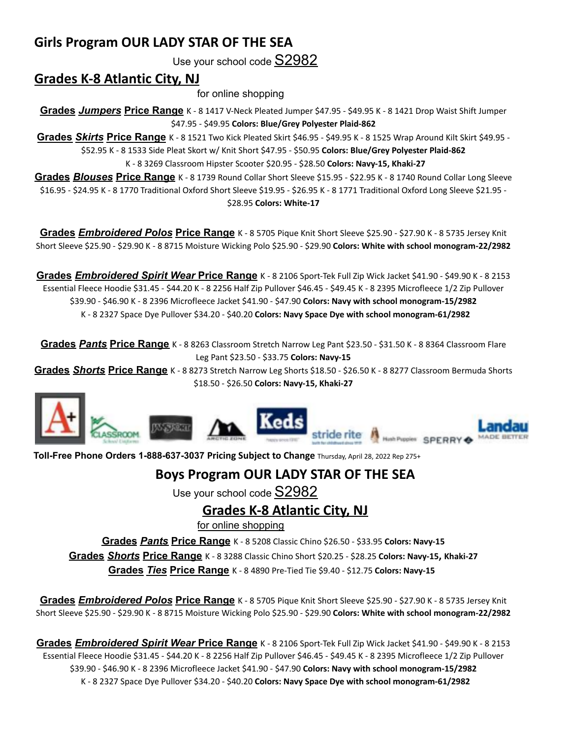## **Girls Program OUR LADY STAR OF THE SEA**

Use your school code S2982

## **Grades K-8 Atlantic City, NJ**

for online shopping

**Grades** *Jumpers* **Price Range** K - 8 1417 V-Neck Pleated Jumper \$47.95 - \$49.95 K - 8 1421 Drop Waist Shift Jumper \$47.95 - \$49.95 **Colors: Blue/Grey Polyester Plaid-862**

**Grades** *Skirts* **Price Range** K - 8 1521 Two Kick Pleated Skirt \$46.95 - \$49.95 K - 8 1525 Wrap Around Kilt Skirt \$49.95 - \$52.95 K - 8 1533 Side Pleat Skort w/ Knit Short \$47.95 - \$50.95 **Colors: Blue/Grey Polyester Plaid-862**

K - 8 3269 Classroom Hipster Scooter \$20.95 - \$28.50 **Colors: Navy-15, Khaki-27**

**Grades** *Blouses* **Price Range** K - 8 1739 Round Collar Short Sleeve \$15.95 - \$22.95 K - 8 1740 Round Collar Long Sleeve \$16.95 - \$24.95 K - 8 1770 Traditional Oxford Short Sleeve \$19.95 - \$26.95 K - 8 1771 Traditional Oxford Long Sleeve \$21.95 - \$28.95 **Colors: White-17**

**Grades** *Embroidered Polos* **Price Range** K - 8 5705 Pique Knit Short Sleeve \$25.90 - \$27.90 K - 8 5735 Jersey Knit Short Sleeve \$25.90 - \$29.90 K - 8 8715 Moisture Wicking Polo \$25.90 - \$29.90 **Colors: White with school monogram-22/2982**

**Grades** *Embroidered Spirit Wear* **Price Range** K - 8 2106 Sport-Tek Full Zip Wick Jacket \$41.90 - \$49.90 K - 8 2153 Essential Fleece Hoodie \$31.45 - \$44.20 K - 8 2256 Half Zip Pullover \$46.45 - \$49.45 K - 8 2395 Microfleece 1/2 Zip Pullover \$39.90 - \$46.90 K - 8 2396 Microfleece Jacket \$41.90 - \$47.90 **Colors: Navy with school monogram-15/2982** K - 8 2327 Space Dye Pullover \$34.20 - \$40.20 **Colors: Navy Space Dye with school monogram-61/2982**

**Grades** *Pants* **Price Range** K - 8 8263 Classroom Stretch Narrow Leg Pant \$23.50 - \$31.50 K - 8 8364 Classroom Flare Leg Pant \$23.50 - \$33.75 **Colors: Navy-15**

**Grades** *Shorts* **Price Range** K - 8 8273 Stretch Narrow Leg Shorts \$18.50 - \$26.50 K - 8 8277 Classroom Bermuda Shorts \$18.50 - \$26.50 **Colors: Navy-15, Khaki-27**



**Toll-Free Phone Orders 1-888-637-3037 Pricing Subject to Change** Thursday, April 28, 2022 Rep 275+

## **Boys Program OUR LADY STAR OF THE SEA**

Use your school code S2982

**Grades K-8 Atlantic City, NJ**

for online shopping

**Grades** *Pants* **Price Range** K - 8 5208 Classic Chino \$26.50 - \$33.95 **Colors: Navy-15**

**Grades** *Shorts* **Price Range** K - 8 3288 Classic Chino Short \$20.25 - \$28.25 **Colors: Navy-15, Khaki-27**

**Grades** *Ties* **Price Range** K - 8 4890 Pre-Tied Tie \$9.40 - \$12.75 **Colors: Navy-15**

**Grades** *Embroidered Polos* **Price Range** K - 8 5705 Pique Knit Short Sleeve \$25.90 - \$27.90 K - 8 5735 Jersey Knit Short Sleeve \$25.90 - \$29.90 K - 8 8715 Moisture Wicking Polo \$25.90 - \$29.90 **Colors: White with school monogram-22/2982**

**Grades** *Embroidered Spirit Wear* **Price Range** K - 8 2106 Sport-Tek Full Zip Wick Jacket \$41.90 - \$49.90 K - 8 2153 Essential Fleece Hoodie \$31.45 - \$44.20 K - 8 2256 Half Zip Pullover \$46.45 - \$49.45 K - 8 2395 Microfleece 1/2 Zip Pullover \$39.90 - \$46.90 K - 8 2396 Microfleece Jacket \$41.90 - \$47.90 **Colors: Navy with school monogram-15/2982** K - 8 2327 Space Dye Pullover \$34.20 - \$40.20 **Colors: Navy Space Dye with school monogram-61/2982**